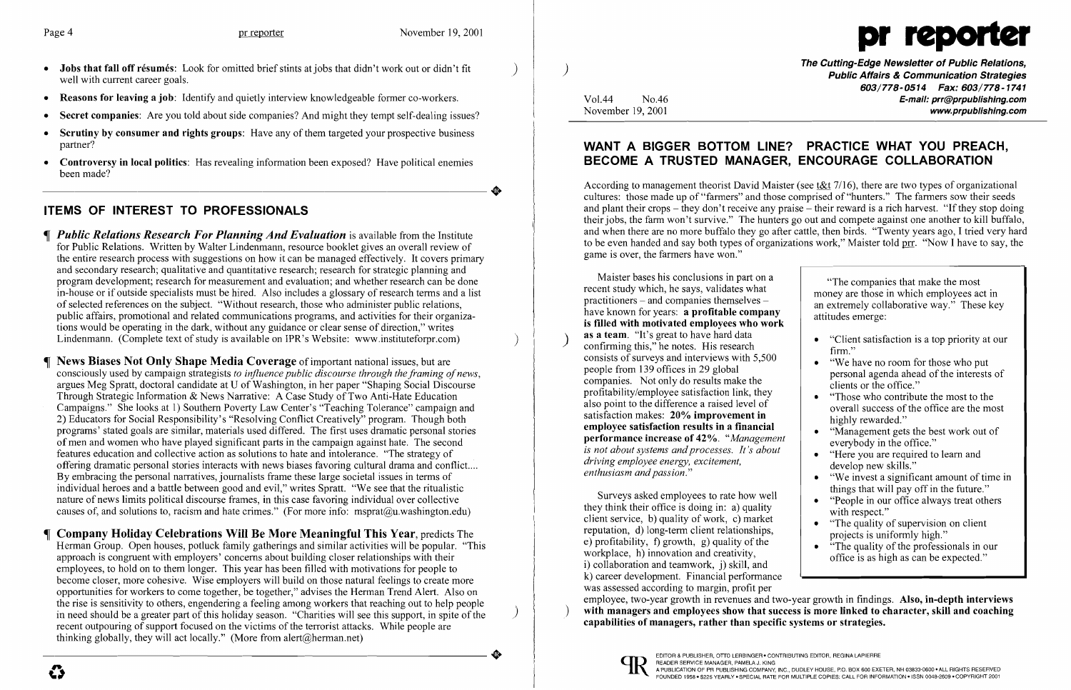- Jobs that fall off résumés: Look for omitted brief stints at jobs that didn't work out or didn't fit well with current career goals.
- Reasons for leaving a job: Identify and quietly interview knowledgeable former co-workers.
- Secret companies: Are you told about side companies? And might they tempt self-dealing issues?
- Scrutiny by consumer and rights groups: Have any of them targeted your prospective business partner?
- Controversy in local politics: Has revealing information been exposed? Have political enemies been made? been made?

## **ITEMS OF INTEREST TO PROFESSIONALS**

- *¶ Public Relations Research For Planning And Evaluation* is available from the Institute for Public Relations. Written by Walter Lindenmann, resource booklet gives an overall review of the entire research process with suggestions on how it can be managed effectively. It covers primary and secondary research; qualitative and quantitative research; research for strategic planning and program development; research for measurement and evaluation; and whether research can be done in-house or if outside specialists must be hired. Also includes a glossary of research terms and a list of selected references on the subject. "Without research, those who administer public relations, public affairs, promotional and related communications programs, and activities for their organizations would be operating in the dark, without any guidance or clear sense of direction," writes Lindenmann. (Complete text of study is available on IPR's Website: www.instituteforpr.com) )
- News Biases Not Only Shape Media Coverage of important national issues, but are consciously used by campaign strategists *to influence public discourse through the framing ofnews,*  argues Meg Spratt, doctoral candidate at U of Washington, in her paper "Shaping Social Discourse Through Strategic Information & News Narrative: A Case Study of Two Anti-Hate Education Campaigns." She looks at 1) Southern Poverty Law Center's "Teaching Tolerance" campaign and 2) Educators for Social Responsibility's "Resolving Conflict Creatively" program. Though both programs' stated goals are similar, materials used differed. The first uses dramatic personal stories of men and women who have played significant parts in the campaign against hate. The second features education and collective action as solutions to hate and intolerance. "The strategy of offering dramatic personal stories interacts with news biases favoring cultural drama and conflict.... By embracing the personal narratives, journalists frame these large societal issues in terms of individual heroes and a battle between good and evil," writes Spratt. "We see that the ritualistic nature of news limits political discourse frames, in this case favoring individual over collective causes of, and solutions to, racism and hate crimes." (For more info: msprat@u.washington.edu)
- Company Holiday Celebrations Will Be More Meaningful This Year, predicts The Herman Group. Open houses, potluck family gatherings and similar activities will be popular. "This approach is congruent with employers' concerns about building closer relationships with their employees, to hold on to them longer. This year has been filled with motivations for people to become closer, more cohesive. Wise employers will build on those natural feelings to create more opportunities for workers to come together, be together," advises the Herman Trend Alert. Also on the rise is sensitivity to others, engendering a feeling among workers that reaching out to help people ) in need should be a greater part of this holiday season. "Charities will see this support, in spite of the ) recent outpouring of support focused on the victims of the terrorist attacks. While people are thinking globally, they will act locally." (More from alert@herman.net) thinking globally, they will act locally." (More from a lert $(\partial_t)$  herman.net)

The Cutting-Edge Newsletter of Public Relations, ) Public Affairs & Communication Strategies 603/778-0514 Fax: 603/778-1741 Vol.44 No.46 No.46 No.46 No.46 No.46 E-mail: prr@prpublishing.com<br>November 19, 2001 www.prpublishing.com

- 
- 
- 
- 
- 
- 
- 
- 
- 

Surveys asked employees to rate how well<br>
they think their office is doing in: a) quality<br>
client service, b) quality of work, c) market<br>
reputation, d) long-term client relationships,<br>
e) profitability, f) growth, g) qual k) career development. Financial performance was assessed according to margin, profit per employee, two-year growth in revenues and two-year growth in findings. Also, in-depth interviews with managers and employees show that success is more linked to character, skill and coaching capabilities of managers, rather than specific systems or strategies.



EDITOR & PUBLISHER, OTTO LERBINGER • CONTRIBUTING EDITOR, REGINA LAPIERRE<br>READER SERVICE MANAGER, PAMELA J. KING READER SERVICE MANAGER, PAMELA J. KING<br>A PUBLICATION OF PR PUBLISHING COMPANY, INC., DUDLEY HOUSE, P.O. BOX 600 EXETER, NH 03833-0600 • ALL RIGHTS RESERVED<br>FOUNDED 1958 • \$225 YEARLY • SPECIAL RATE FOR MULTIPLE COPIES: CAL

 $\overline{\mathbf{C}}$ 



### **WANT A BIGGER BOTTOM LINE? PRACTICE WHAT YOU PREACH, BECOME A TRUSTED MANAGER, ENCOURAGE COLLABORATION**

According to management theorist David Maister (see t&t 7/16), there are two types of organizational cultures: those made up of "farmers" and those comprised of "hunters." The farmers sow their seeds and plant their crops – they don't receive any praise – their reward is a rich harvest. "If they stop doing their jobs, the farm won't survive." The hunters go out and compete against one another to kill buffalo, and when there are no more buffalo they go after cattle, then birds. "Twenty years ago, I tried very hard to be even handed and say both types of organizations work," Maister told prr. "Now I have to say, the game is over, the farmers have won."

Maister bases his conclusions in part on a<br>recent study which, he says, validates what money are those in which employees act in practitioners – and companies themselves –<br>have known for years: **a profitable company**<br>is filled with motivated employees who work<br>is the work of the sense of the sense of the sense of the sense of the sense of the sense as a team. "It's great to have hard data **Example 19 Secondity** 11 September 139 offices in 29 global and interviews with 5,500 people from 139 offices in 29 global **Firm.**" **Example 139** offices in 29 global **Firm.**" **Example 139** offices in 29 global **Figure 14** people from 139 offices in 29 global<br>
companies. Not only do results make the<br>
profitability/employee satisfaction link, they<br>
also point to the difference a raised level of<br>
satisfaction makes: 20% improvement in<br>
employe